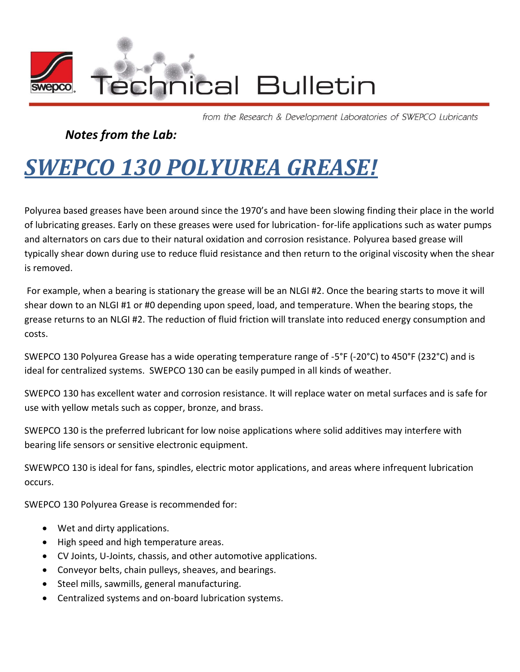

from the Research & Development Laboratories of SWEPCO Lubricants

## *Notes from the Lab:*

## *SWEPCO 130 POLYUREA GREASE!*

Polyurea based greases have been around since the 1970's and have been slowing finding their place in the world of lubricating greases. Early on these greases were used for lubrication- for-life applications such as water pumps and alternators on cars due to their natural oxidation and corrosion resistance. Polyurea based grease will typically shear down during use to reduce fluid resistance and then return to the original viscosity when the shear is removed.

For example, when a bearing is stationary the grease will be an NLGI #2. Once the bearing starts to move it will shear down to an NLGI #1 or #0 depending upon speed, load, and temperature. When the bearing stops, the grease returns to an NLGI #2. The reduction of fluid friction will translate into reduced energy consumption and costs.

SWEPCO 130 Polyurea Grease has a wide operating temperature range of -5°F (-20°C) to 450°F (232°C) and is ideal for centralized systems. SWEPCO 130 can be easily pumped in all kinds of weather.

SWEPCO 130 has excellent water and corrosion resistance. It will replace water on metal surfaces and is safe for use with yellow metals such as copper, bronze, and brass.

SWEPCO 130 is the preferred lubricant for low noise applications where solid additives may interfere with bearing life sensors or sensitive electronic equipment.

SWEWPCO 130 is ideal for fans, spindles, electric motor applications, and areas where infrequent lubrication occurs.

SWEPCO 130 Polyurea Grease is recommended for:

- Wet and dirty applications.
- High speed and high temperature areas.
- CV Joints, U-Joints, chassis, and other automotive applications.
- Conveyor belts, chain pulleys, sheaves, and bearings.
- Steel mills, sawmills, general manufacturing.
- Centralized systems and on-board lubrication systems.